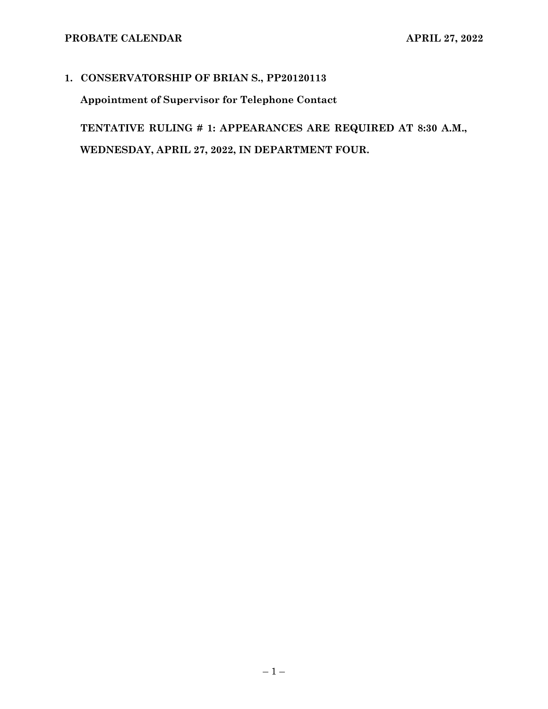## **1. CONSERVATORSHIP OF BRIAN S., PP20120113**

**Appointment of Supervisor for Telephone Contact**

**TENTATIVE RULING # 1: APPEARANCES ARE REQUIRED AT 8:30 A.M., WEDNESDAY, APRIL 27, 2022, IN DEPARTMENT FOUR.**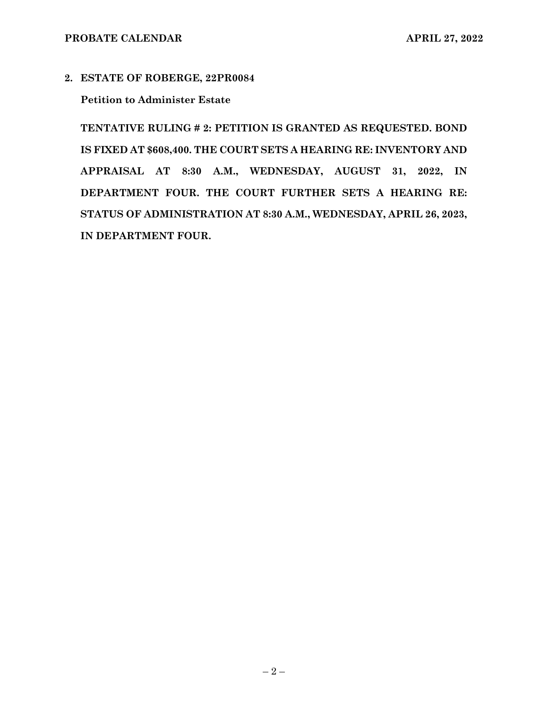#### **2. ESTATE OF ROBERGE, 22PR0084**

### **Petition to Administer Estate**

**TENTATIVE RULING # 2: PETITION IS GRANTED AS REQUESTED. BOND IS FIXED AT \$608,400. THE COURT SETS A HEARING RE: INVENTORY AND APPRAISAL AT 8:30 A.M., WEDNESDAY, AUGUST 31, 2022, IN DEPARTMENT FOUR. THE COURT FURTHER SETS A HEARING RE: STATUS OF ADMINISTRATION AT 8:30 A.M., WEDNESDAY, APRIL 26, 2023, IN DEPARTMENT FOUR.**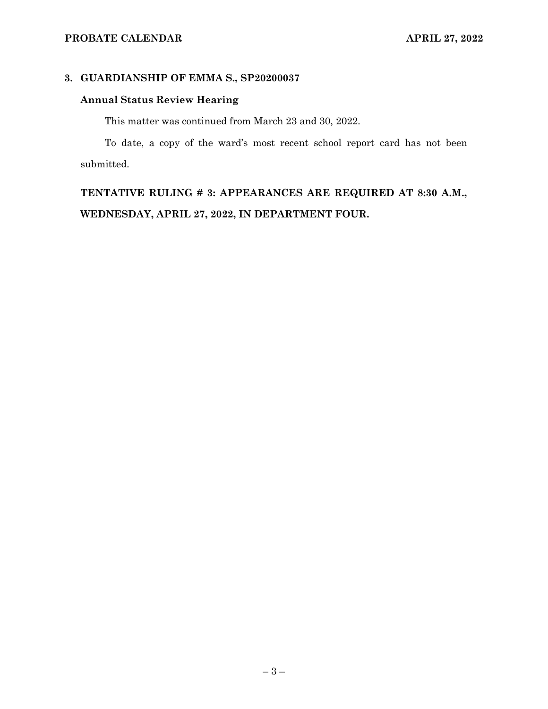### **3. GUARDIANSHIP OF EMMA S., SP20200037**

# **Annual Status Review Hearing**

This matter was continued from March 23 and 30, 2022.

To date, a copy of the ward's most recent school report card has not been submitted.

**TENTATIVE RULING # 3: APPEARANCES ARE REQUIRED AT 8:30 A.M., WEDNESDAY, APRIL 27, 2022, IN DEPARTMENT FOUR.**